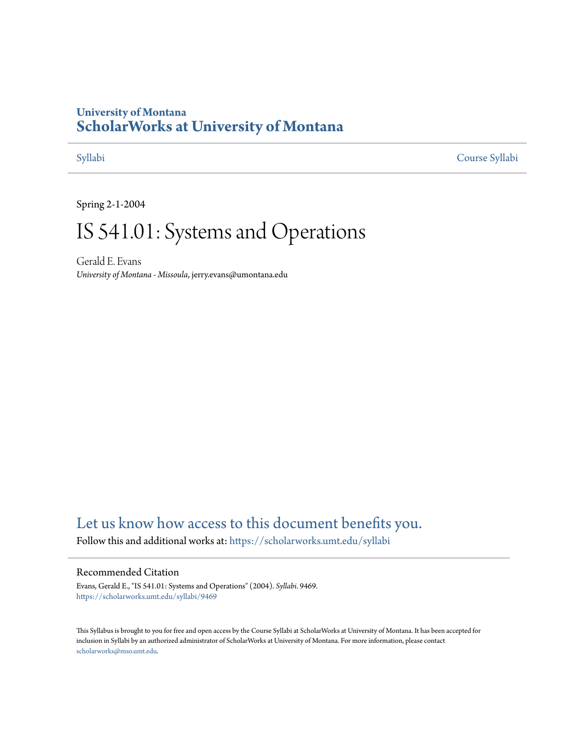# **University of Montana [ScholarWorks at University of Montana](https://scholarworks.umt.edu?utm_source=scholarworks.umt.edu%2Fsyllabi%2F9469&utm_medium=PDF&utm_campaign=PDFCoverPages)**

[Syllabi](https://scholarworks.umt.edu/syllabi?utm_source=scholarworks.umt.edu%2Fsyllabi%2F9469&utm_medium=PDF&utm_campaign=PDFCoverPages) [Course Syllabi](https://scholarworks.umt.edu/course_syllabi?utm_source=scholarworks.umt.edu%2Fsyllabi%2F9469&utm_medium=PDF&utm_campaign=PDFCoverPages)

Spring 2-1-2004

# IS 541.01: Systems and Operations

Gerald E. Evans *University of Montana - Missoula*, jerry.evans@umontana.edu

# [Let us know how access to this document benefits you.](https://goo.gl/forms/s2rGfXOLzz71qgsB2)

Follow this and additional works at: [https://scholarworks.umt.edu/syllabi](https://scholarworks.umt.edu/syllabi?utm_source=scholarworks.umt.edu%2Fsyllabi%2F9469&utm_medium=PDF&utm_campaign=PDFCoverPages)

#### Recommended Citation

Evans, Gerald E., "IS 541.01: Systems and Operations" (2004). *Syllabi*. 9469. [https://scholarworks.umt.edu/syllabi/9469](https://scholarworks.umt.edu/syllabi/9469?utm_source=scholarworks.umt.edu%2Fsyllabi%2F9469&utm_medium=PDF&utm_campaign=PDFCoverPages)

This Syllabus is brought to you for free and open access by the Course Syllabi at ScholarWorks at University of Montana. It has been accepted for inclusion in Syllabi by an authorized administrator of ScholarWorks at University of Montana. For more information, please contact [scholarworks@mso.umt.edu](mailto:scholarworks@mso.umt.edu).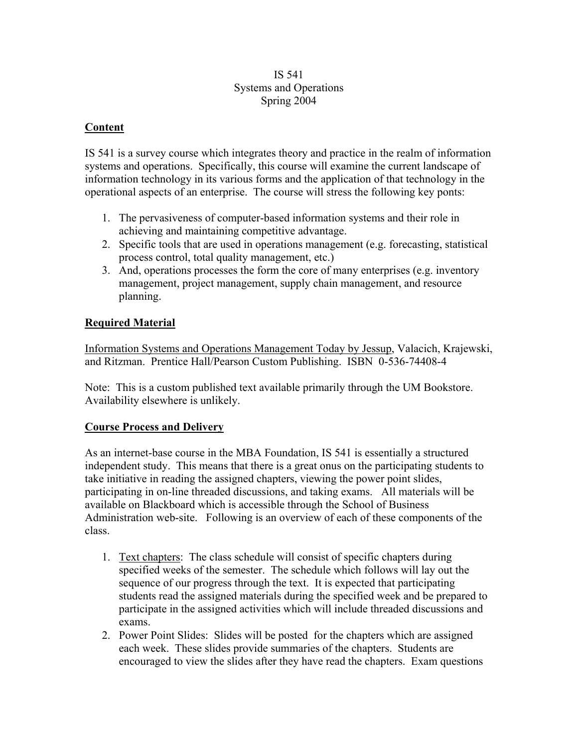#### IS 541 Systems and Operations Spring 2004

#### **Content**

IS 541 is a survey course which integrates theory and practice in the realm of information systems and operations. Specifically, this course will examine the current landscape of information technology in its various forms and the application of that technology in the operational aspects of an enterprise. The course will stress the following key ponts:

- 1. The pervasiveness of computer-based information systems and their role in achieving and maintaining competitive advantage.
- 2. Specific tools that are used in operations management (e.g. forecasting, statistical process control, total quality management, etc.)
- 3. And, operations processes the form the core of many enterprises (e.g. inventory management, project management, supply chain management, and resource planning.

### **Required Material**

Information Systems and Operations Management Today by Jessup, Valacich, Krajewski, and Ritzman. Prentice Hall/Pearson Custom Publishing. ISBN 0-536-74408-4

Note: This is a custom published text available primarily through the UM Bookstore. Availability elsewhere is unlikely.

#### **Course Process and Delivery**

As an internet-base course in the MBA Foundation, IS 541 is essentially a structured independent study. This means that there is a great onus on the participating students to take initiative in reading the assigned chapters, viewing the power point slides, participating in on-line threaded discussions, and taking exams. All materials will be available on Blackboard which is accessible through the School of Business Administration web-site. Following is an overview of each of these components of the class.

- 1. Text chapters: The class schedule will consist of specific chapters during specified weeks of the semester. The schedule which follows will lay out the sequence of our progress through the text. It is expected that participating students read the assigned materials during the specified week and be prepared to participate in the assigned activities which will include threaded discussions and exams.
- 2. Power Point Slides: Slides will be posted for the chapters which are assigned each week. These slides provide summaries of the chapters. Students are encouraged to view the slides after they have read the chapters. Exam questions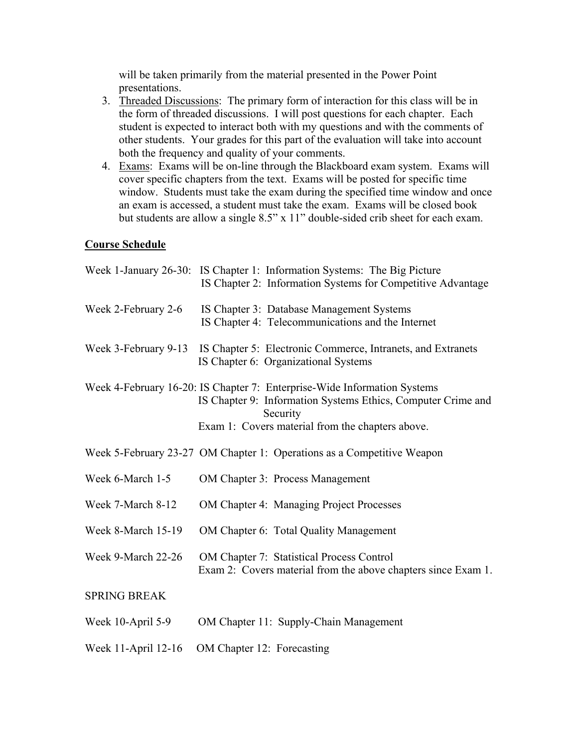will be taken primarily from the material presented in the Power Point presentations.

- 3. Threaded Discussions: The primary form of interaction for this class will be in the form of threaded discussions. I will post questions for each chapter. Each student is expected to interact both with my questions and with the comments of other students. Your grades for this part of the evaluation will take into account both the frequency and quality of your comments.
- 4. Exams: Exams will be on-line through the Blackboard exam system. Exams will cover specific chapters from the text. Exams will be posted for specific time window. Students must take the exam during the specified time window and once an exam is accessed, a student must take the exam. Exams will be closed book but students are allow a single 8.5" x 11" double-sided crib sheet for each exam.

#### **Course Schedule**

|                      | Week 1-January 26-30: IS Chapter 1: Information Systems: The Big Picture<br>IS Chapter 2: Information Systems for Competitive Advantage                                                                  |
|----------------------|----------------------------------------------------------------------------------------------------------------------------------------------------------------------------------------------------------|
| Week 2-February 2-6  | IS Chapter 3: Database Management Systems<br>IS Chapter 4: Telecommunications and the Internet                                                                                                           |
| Week 3-February 9-13 | IS Chapter 5: Electronic Commerce, Intranets, and Extranets<br>IS Chapter 6: Organizational Systems                                                                                                      |
|                      | Week 4-February 16-20: IS Chapter 7: Enterprise-Wide Information Systems<br>IS Chapter 9: Information Systems Ethics, Computer Crime and<br>Security<br>Exam 1: Covers material from the chapters above. |
|                      | Week 5-February 23-27 OM Chapter 1: Operations as a Competitive Weapon                                                                                                                                   |
| Week 6-March 1-5     | <b>OM Chapter 3: Process Management</b>                                                                                                                                                                  |
| Week 7-March 8-12    | <b>OM Chapter 4: Managing Project Processes</b>                                                                                                                                                          |
| Week 8-March 15-19   | OM Chapter 6: Total Quality Management                                                                                                                                                                   |
| Week 9-March 22-26   | <b>OM Chapter 7: Statistical Process Control</b><br>Exam 2: Covers material from the above chapters since Exam 1.                                                                                        |
| <b>SPRING BREAK</b>  |                                                                                                                                                                                                          |
| Week 10-April 5-9    | OM Chapter 11: Supply-Chain Management                                                                                                                                                                   |

Week 11-April 12-16 OM Chapter 12: Forecasting